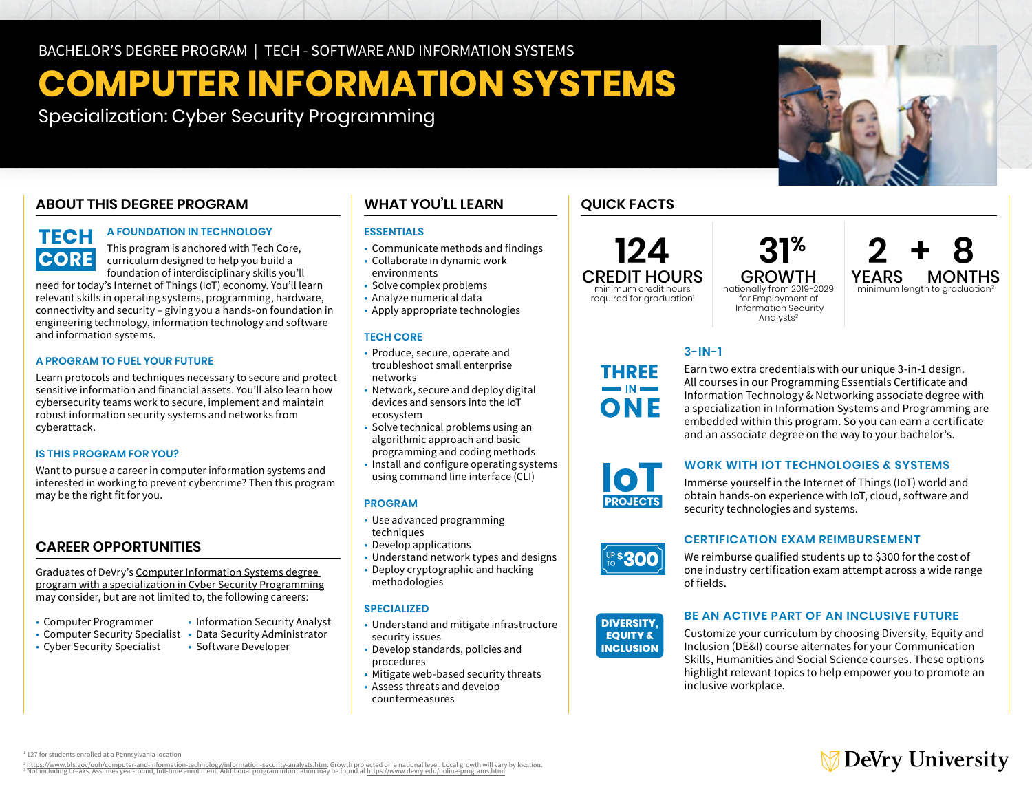# **COMPUTER INFORMATION SYSTEMS**

Specialization: Cyber Security Programming

# **ABOUT THIS DEGREE PROGRAM**

# **TECH CORE**

# **A FOUNDATION IN TECHNOLOGY**

This program is anchored with Tech Core, curriculum designed to help you build a foundation of interdisciplinary skills you'll

need for today's Internet of Things (IoT) economy. You'll learn relevant skills in operating systems, programming, hardware, connectivity and security – giving you a hands-on foundation in engineering technology, information technology and software and information systems.

### **A PROGRAM TO FUEL YOUR FUTURE**

Learn protocols and techniques necessary to secure and protect sensitive information and financial assets. You'll also learn how cybersecurity teams work to secure, implement and maintain robust information security systems and networks from cyberattack.

### **IS THIS PROGRAM FOR YOU?**

Want to pursue a career in computer information systems and interested in working to prevent cybercrime? Then this program may be the right fit for you.

# **CAREER OPPORTUNITIES**

Graduates of DeVry's [Computer Information Systems degree](https://www.devry.edu/online-programs/bachelors-degrees/computer-information-systems/cyber-security-programming-specialization.html)  [program with a specialization in Cyber Security Programming](https://www.devry.edu/online-programs/bachelors-degrees/computer-information-systems/cyber-security-programming-specialization.html)  may consider, but are not limited to, the following careers:

- Computer Programmer Information Security Analyst
- Computer Security Specialist Data Security Administrator<br>• Cyber Security Specialist Software Developer
- Cyber Security Specialist

# **WHAT YOU'LL LEARN**

### **ESSENTIALS**

- Communicate methods and findings
- Collaborate in dynamic work environments
- Solve complex problems
- Analyze numerical data
- Apply appropriate technologies

### **TECH CORE**

- Produce, secure, operate and troubleshoot small enterprise networks
- Network, secure and deploy digital devices and sensors into the IoT ecosystem
- Solve technical problems using an algorithmic approach and basic
- programming and coding methods
- • Install and configure operating systems using command line interface (CLI)

### **PROGRAM**

- Use advanced programming techniques
- Develop applications
- Understand network types and designs
- Deploy cryptographic and hacking methodologies

### **SPECIALIZED**

- • Understand and mitigate infrastructure security issues
- Develop standards, policies and procedures
- Mitigate web-based security threats
- Assess threats and develop countermeasures

# **QUICK FACTS**

**124**  CREDIT HOURS minimum credit hours

required for graduation<sup>1</sup> nationally from 2019-2029 for Employment of Information Security Analysts<sup>2</sup>

# $31<sup>%</sup>$   $2 + 8$ <br>GROWTH YEARS MONTHS GROWTH YEARS MONTHS<br>onally from 2019-2029 minimum length to graduation<sup>3</sup>

### **3-IN-1**

Earn two extra credentials with our unique 3-in-1 design. All courses in our Programming Essentials Certificate and Information Technology & Networking associate degree with a specialization in Information Systems and Programming are embedded within this program. So you can earn a certificate and an associate degree on the way to your bachelor's.



THREE

ONF

### **WORK WITH IOT TECHNOLOGIES & SYSTEMS**

Immerse yourself in the Internet of Things (IoT) world and obtain hands-on experience with IoT, cloud, software and security technologies and systems.

### **CERTIFICATION EXAM REIMBURSEMENT**

We reimburse qualified students up to \$300 for the cost of one industry certification exam attempt across a wide range of fields.

#### **DIVERSITY. EQUITY & INCLUSION**

\$300

### **BE AN ACTIVE PART OF AN INCLUSIVE FUTURE**

Customize your curriculum by choosing Diversity, Equity and Inclusion (DE&I) course alternates for your Communication Skills, Humanities and Social Science courses. These options highlight relevant topics to help empower you to promote an inclusive workplace.

**∂ DeVry University** 

1 127 for students enrolled at a Pennsylvania location

° https://www.bls.gov/ooh/computer-and-information-technology/information-security-analysts.htm. Growth projected on a national level. Local growth will vary by location.<br>↑ Not including breaks. Assumes year-round, full-t